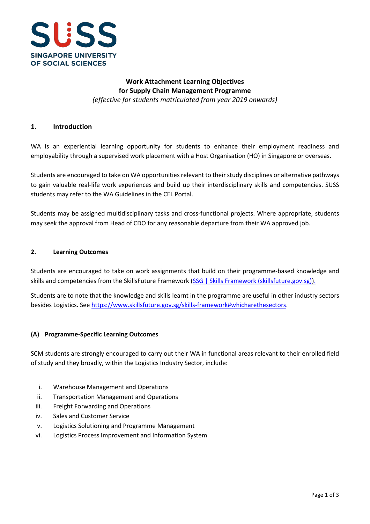

# **Work Attachment Learning Objectives for Supply Chain Management Programme** *(effective for students matriculated from year 2019 onwards)*

# **1. Introduction**

WA is an experiential learning opportunity for students to enhance their employment readiness and employability through a supervised work placement with a Host Organisation (HO) in Singapore or overseas.

Students are encouraged to take on WA opportunities relevant to their study disciplines or alternative pathways to gain valuable real-life work experiences and build up their interdisciplinary skills and competencies. SUSS students may refer to the WA Guidelines in the CEL Portal.

Students may be assigned multidisciplinary tasks and cross-functional projects. Where appropriate, students may seek the approval from Head of CDO for any reasonable departure from their WA approved job.

### **2. Learning Outcomes**

Students are encouraged to take on work assignments that build on their programme-based knowledge and skills and competencies from the SkillsFuture Framework [\(SSG | Skills Framework \(skillsfuture.gov.sg\)\)](https://www.skillsfuture.gov.sg/skills-framework).

Students are to note that the knowledge and skills learnt in the programme are useful in other industry sectors besides Logistics. See [https://www.skillsfuture.gov.sg/skills-framework#whicharethesectors.](https://www.skillsfuture.gov.sg/skills-framework#whicharethesectors)

#### **(A) Programme-Specific Learning Outcomes**

SCM students are strongly encouraged to carry out their WA in functional areas relevant to their enrolled field of study and they broadly, within the Logistics Industry Sector, include:

- i. Warehouse Management and Operations
- ii. Transportation Management and Operations
- iii. Freight Forwarding and Operations
- iv. Sales and Customer Service
- v. Logistics Solutioning and Programme Management
- vi. Logistics Process Improvement and Information System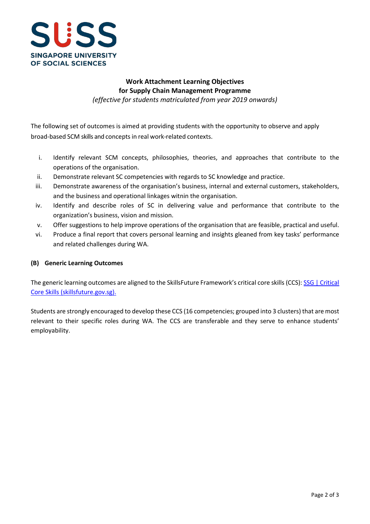

# **Work Attachment Learning Objectives for Supply Chain Management Programme**

*(effective for students matriculated from year 2019 onwards)*

The following set of outcomes is aimed at providing students with the opportunity to observe and apply broad-based SCM skills and conceptsin real work-related contexts.

- i. Identify relevant SCM concepts, philosophies, theories, and approaches that contribute to the operations of the organisation.
- ii. Demonstrate relevant SC competencies with regards to SC knowledge and practice.
- iii. Demonstrate awareness of the organisation's business, internal and external customers, stakeholders, and the business and operational linkages witnin the organisation.
- iv. Identify and describe roles of SC in delivering value and performance that contribute to the organization's business, vision and mission.
- v. Offer suggestions to help improve operations of the organisation that are feasible, practical and useful.
- vi. Produce a final report that covers personal learning and insights gleaned from key tasks' performance and related challenges during WA.

## **(B) Generic Learning Outcomes**

The generic learning outcomes are aligned to the SkillsFuture Framework's critical core skills (CCS): SSG | [Critical](https://www.skillsfuture.gov.sg/skills-framework/criticalcoreskills)  [Core Skills \(skillsfuture.gov.sg\).](https://www.skillsfuture.gov.sg/skills-framework/criticalcoreskills)

Students are strongly encouraged to develop these CCS (16 competencies; grouped into 3 clusters) that are most relevant to their specific roles during WA. The CCS are transferable and they serve to enhance students' employability.